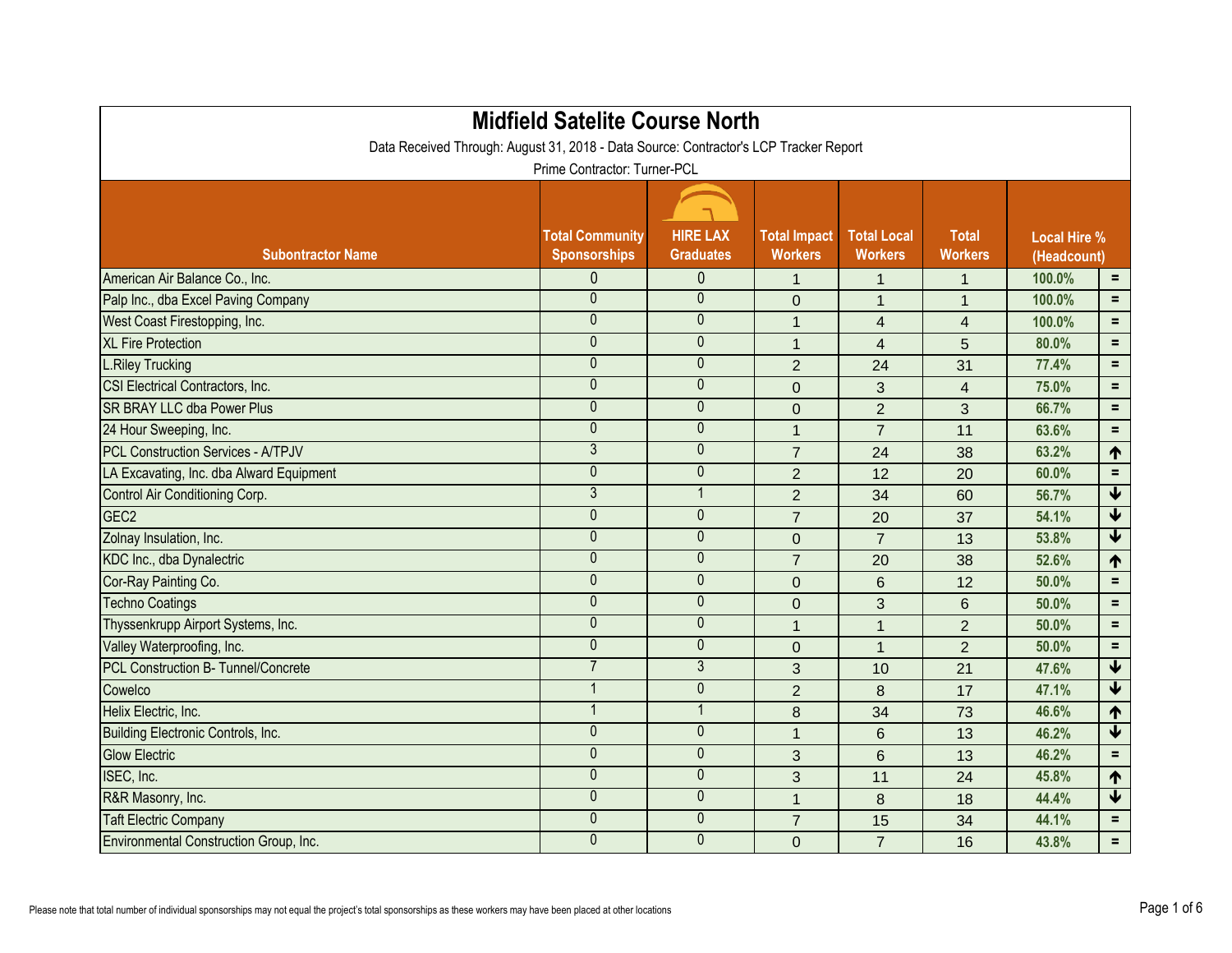| <b>Midfield Satelite Course North</b><br>Data Received Through: August 31, 2018 - Data Source: Contractor's LCP Tracker Report |                                               |                                     |                                       |                                      |                                |                                    |                         |  |  |  |
|--------------------------------------------------------------------------------------------------------------------------------|-----------------------------------------------|-------------------------------------|---------------------------------------|--------------------------------------|--------------------------------|------------------------------------|-------------------------|--|--|--|
| Prime Contractor: Turner-PCL                                                                                                   |                                               |                                     |                                       |                                      |                                |                                    |                         |  |  |  |
| <b>Subontractor Name</b>                                                                                                       | <b>Total Community</b><br><b>Sponsorships</b> | <b>HIRE LAX</b><br><b>Graduates</b> | <b>Total Impact</b><br><b>Workers</b> | <b>Total Local</b><br><b>Workers</b> | <b>Total</b><br><b>Workers</b> | <b>Local Hire %</b><br>(Headcount) |                         |  |  |  |
| American Air Balance Co., Inc.                                                                                                 | 0                                             | $\mathbf{0}$                        | $\mathbf{1}$                          | $\overline{1}$                       | $\overline{1}$                 | 100.0%                             | $=$                     |  |  |  |
| Palp Inc., dba Excel Paving Company                                                                                            | $\mathbf{0}$                                  | $\theta$                            | $\overline{0}$                        | $\mathbf 1$                          | 1                              | 100.0%                             | $=$                     |  |  |  |
| West Coast Firestopping, Inc.                                                                                                  | $\overline{0}$                                | $\pmb{0}$                           | $\mathbf{1}$                          | $\overline{4}$                       | $\overline{4}$                 | 100.0%                             | $=$                     |  |  |  |
| <b>XL Fire Protection</b>                                                                                                      | $\mathbf{0}$                                  | $\mathbf{0}$                        | $\mathbf{1}$                          | $\overline{4}$                       | 5                              | 80.0%                              | $=$                     |  |  |  |
| <b>L.Riley Trucking</b>                                                                                                        | 0                                             | $\theta$                            | $\overline{2}$                        | 24                                   | 31                             | 77.4%                              | $=$                     |  |  |  |
| CSI Electrical Contractors, Inc.                                                                                               | $\mathbf 0$                                   | $\mathbf{0}$                        | $\mathbf 0$                           | 3                                    | $\overline{4}$                 | 75.0%                              | $=$                     |  |  |  |
| <b>ISR BRAY LLC dba Power Plus</b>                                                                                             | $\mathbf 0$                                   | $\theta$                            | $\overline{0}$                        | $\overline{2}$                       | 3                              | 66.7%                              | $=$                     |  |  |  |
| 24 Hour Sweeping, Inc.                                                                                                         | 0                                             | $\mathbf{0}$                        | $\mathbf 1$                           | $\overline{7}$                       | 11                             | 63.6%                              | $=$                     |  |  |  |
| <b>PCL Construction Services - A/TPJV</b>                                                                                      | $\overline{3}$                                | $\mathbf{0}$                        | $\overline{7}$                        | 24                                   | 38                             | 63.2%                              | 个                       |  |  |  |
| LA Excavating, Inc. dba Alward Equipment                                                                                       | $\mathbf 0$                                   | $\mathbf{0}$                        | $\overline{2}$                        | 12                                   | 20                             | 60.0%                              | $=$                     |  |  |  |
| Control Air Conditioning Corp.                                                                                                 | $\overline{3}$                                |                                     | $\overline{2}$                        | 34                                   | 60                             | 56.7%                              | $\blacklozenge$         |  |  |  |
| GEC <sub>2</sub>                                                                                                               | $\mathbf 0$                                   | $\mathbf{0}$                        | $\overline{7}$                        | 20                                   | 37                             | 54.1%                              | $\blacklozenge$         |  |  |  |
| Zolnay Insulation, Inc.                                                                                                        | $\mathbf 0$                                   | $\theta$                            | $\overline{0}$                        | $\overline{7}$                       | 13                             | 53.8%                              | $\blacklozenge$         |  |  |  |
| KDC Inc., dba Dynalectric                                                                                                      | 0                                             | $\theta$                            | $\overline{7}$                        | 20                                   | 38                             | 52.6%                              | $\uparrow$              |  |  |  |
| Cor-Ray Painting Co.                                                                                                           | $\mathbf 0$                                   | $\mathbf{0}$                        | $\overline{0}$                        | 6                                    | 12                             | 50.0%                              | $=$                     |  |  |  |
| <b>Techno Coatings</b>                                                                                                         | $\mathbf 0$                                   | $\theta$                            | $\overline{0}$                        | 3                                    | 6                              | 50.0%                              | $=$                     |  |  |  |
| Thyssenkrupp Airport Systems, Inc.                                                                                             | 0                                             | $\mathbf{0}$                        | $\mathbf{1}$                          | 1                                    | $\overline{2}$                 | 50.0%                              | $=$                     |  |  |  |
| Valley Waterproofing, Inc.                                                                                                     | $\mathbf 0$                                   | $\theta$                            | $\overline{0}$                        | $\overline{1}$                       | $\overline{2}$                 | 50.0%                              | $=$                     |  |  |  |
| <b>PCL Construction B- Tunnel/Concrete</b>                                                                                     | $\overline{7}$                                | $\mathfrak{Z}$                      | 3                                     | 10                                   | 21                             | 47.6%                              | $\blacklozenge$         |  |  |  |
| Cowelco                                                                                                                        |                                               | $\theta$                            | $\overline{2}$                        | 8                                    | 17                             | 47.1%                              | $\overline{\textbf{v}}$ |  |  |  |
| Helix Electric, Inc.                                                                                                           |                                               |                                     | 8                                     | 34                                   | 73                             | 46.6%                              | 1                       |  |  |  |
| Building Electronic Controls, Inc.                                                                                             | $\overline{0}$                                | $\mathbf 0$                         | $\mathbf{1}$                          | $6\phantom{1}6$                      | 13                             | 46.2%                              | $\downarrow$            |  |  |  |
| <b>Glow Electric</b>                                                                                                           | 0                                             | $\mathbf{0}$                        | 3                                     | $6\phantom{1}$                       | 13                             | 46.2%                              | Ξ.                      |  |  |  |
| ISEC, Inc.                                                                                                                     | $\mathbf 0$                                   | $\mathbf 0$                         | 3                                     | 11                                   | 24                             | 45.8%                              | $\uparrow$              |  |  |  |
| R&R Masonry, Inc.                                                                                                              | $\overline{0}$                                | $\pmb{0}$                           | 1                                     | 8                                    | 18                             | 44.4%                              | $\blacklozenge$         |  |  |  |
| <b>Taft Electric Company</b>                                                                                                   | $\mathbf 0$                                   | $\mathbf{0}$                        | $\overline{7}$                        | 15                                   | 34                             | 44.1%                              | $=$                     |  |  |  |
| Environmental Construction Group, Inc.                                                                                         | $\mathbf 0$                                   | $\boldsymbol{0}$                    | $\overline{0}$                        | $\overline{7}$                       | 16                             | 43.8%                              | $\equiv$ .              |  |  |  |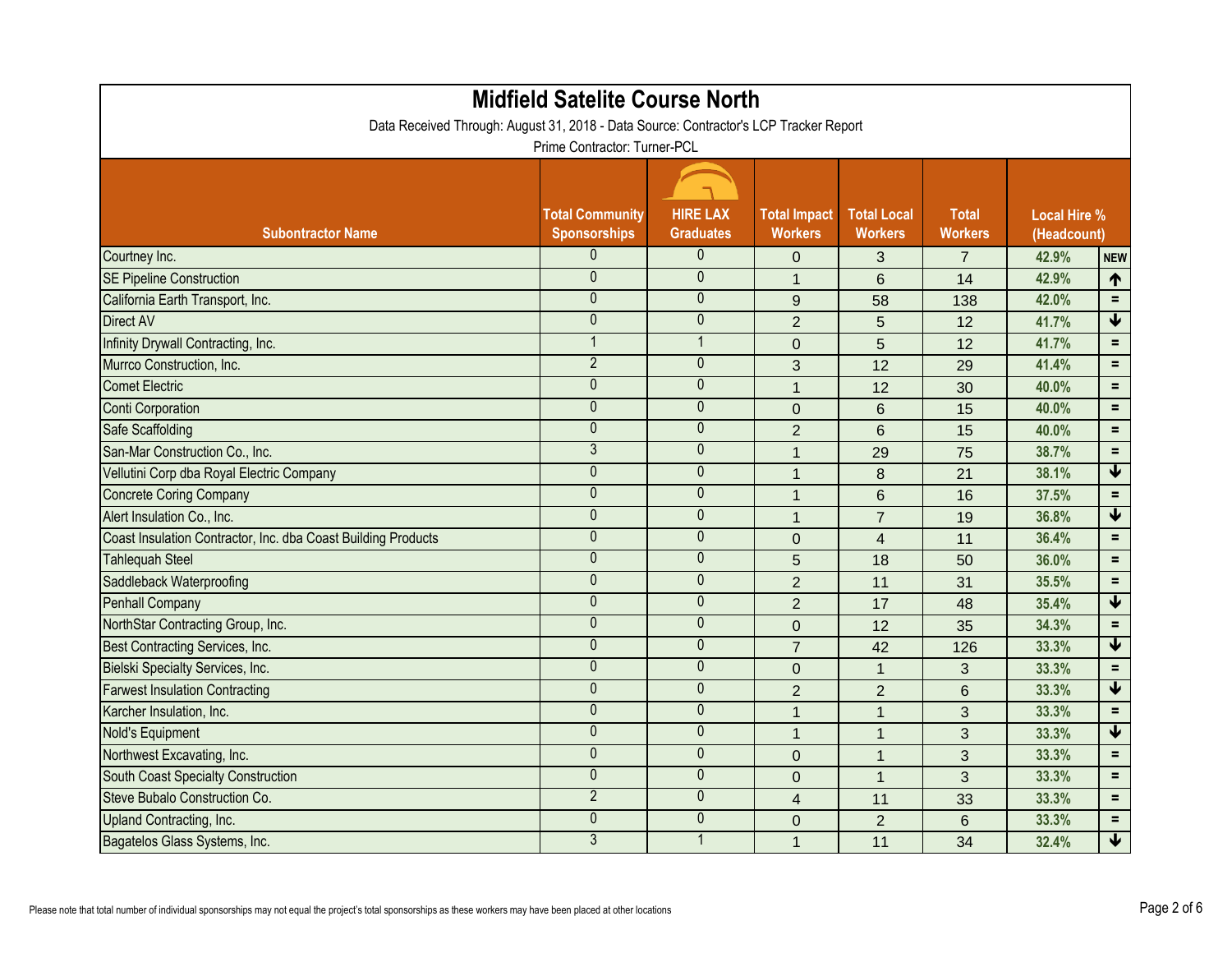| <b>Midfield Satelite Course North</b><br>Data Received Through: August 31, 2018 - Data Source: Contractor's LCP Tracker Report |                        |                  |                     |                         |                |                     |                         |  |  |  |
|--------------------------------------------------------------------------------------------------------------------------------|------------------------|------------------|---------------------|-------------------------|----------------|---------------------|-------------------------|--|--|--|
| Prime Contractor: Turner-PCL                                                                                                   |                        |                  |                     |                         |                |                     |                         |  |  |  |
|                                                                                                                                | <b>Total Community</b> | <b>HIRE LAX</b>  | <b>Total Impact</b> | <b>Total Local</b>      | <b>Total</b>   | <b>Local Hire %</b> |                         |  |  |  |
| <b>Subontractor Name</b>                                                                                                       | <b>Sponsorships</b>    | <b>Graduates</b> | <b>Workers</b>      | <b>Workers</b>          | <b>Workers</b> | (Headcount)         |                         |  |  |  |
| Courtney Inc.                                                                                                                  | 0                      | $\mathbf{0}$     | 0                   | 3                       |                | 42.9%               | <b>NEW</b>              |  |  |  |
| <b>SE Pipeline Construction</b>                                                                                                | $\mathbf{0}$           | $\mathbf{0}$     | $\mathbf{1}$        | $6\phantom{1}$          | 14             | 42.9%               | 1                       |  |  |  |
| California Earth Transport, Inc.                                                                                               | $\mathbf 0$            | $\theta$         | $9\,$               | 58                      | 138            | 42.0%               | $=$                     |  |  |  |
| <b>Direct AV</b>                                                                                                               | 0                      | $\mathbf{0}$     | $\overline{2}$      | 5                       | 12             | 41.7%               | $\blacklozenge$         |  |  |  |
| Infinity Drywall Contracting, Inc.                                                                                             | $\mathbf 1$            | $\overline{1}$   | $\mathbf 0$         | 5                       | 12             | 41.7%               | $=$                     |  |  |  |
| Murrco Construction, Inc.                                                                                                      | $\overline{2}$         | $\boldsymbol{0}$ | 3                   | 12                      | 29             | 41.4%               | $=$                     |  |  |  |
| <b>Comet Electric</b>                                                                                                          | 0                      | $\mathbf{0}$     | $\mathbf{1}$        | 12                      | 30             | 40.0%               | $=$                     |  |  |  |
| Conti Corporation                                                                                                              | $\mathbf 0$            | $\theta$         | $\overline{0}$      | $6\phantom{1}$          | 15             | 40.0%               | $=$                     |  |  |  |
| <b>Safe Scaffolding</b>                                                                                                        | $\mathbf 0$            | $\mathbf{0}$     | $\overline{2}$      | $6\phantom{1}$          | 15             | 40.0%               | $=$                     |  |  |  |
| San-Mar Construction Co., Inc.                                                                                                 | $\overline{3}$         | $\mathbf{0}$     | $\mathbf{1}$        | 29                      | 75             | 38.7%               | $=$                     |  |  |  |
| Vellutini Corp dba Royal Electric Company                                                                                      | $\mathbf 0$            | $\mathbf{0}$     | $\mathbf 1$         | 8                       | 21             | 38.1%               | $\blacklozenge$         |  |  |  |
| <b>Concrete Coring Company</b>                                                                                                 | $\overline{0}$         | $\mathbf{0}$     | $\overline{1}$      | $6\phantom{1}$          | 16             | 37.5%               | $=$                     |  |  |  |
| Alert Insulation Co., Inc.                                                                                                     | 0                      | $\mathbf{0}$     | $\mathbf{1}$        | $\overline{7}$          | 19             | 36.8%               | $\blacklozenge$         |  |  |  |
| Coast Insulation Contractor, Inc. dba Coast Building Products                                                                  | $\mathbf 0$            | $\theta$         | $\mathbf 0$         | $\overline{4}$          | 11             | 36.4%               | $=$                     |  |  |  |
| <b>Tahlequah Steel</b>                                                                                                         | $\mathbf 0$            | $\theta$         | 5                   | 18                      | 50             | 36.0%               | $=$                     |  |  |  |
| Saddleback Waterproofing                                                                                                       | $\mathbf 0$            | $\mathbf{0}$     | $\overline{2}$      | 11                      | 31             | 35.5%               | $=$                     |  |  |  |
| <b>Penhall Company</b>                                                                                                         | 0                      | $\boldsymbol{0}$ | $\overline{2}$      | 17                      | 48             | 35.4%               | $\blacklozenge$         |  |  |  |
| NorthStar Contracting Group, Inc.                                                                                              | $\mathbf 0$            | $\mathbf{0}$     | $\overline{0}$      | 12                      | 35             | 34.3%               | $=$                     |  |  |  |
| Best Contracting Services, Inc.                                                                                                | 0                      | $\theta$         | $\overline{7}$      | 42                      | 126            | 33.3%               | $\blacklozenge$         |  |  |  |
| Bielski Specialty Services, Inc.                                                                                               | 0                      | $\mathbf{0}$     | $\mathbf 0$         |                         | 3              | 33.3%               | $=$                     |  |  |  |
| <b>Farwest Insulation Contracting</b>                                                                                          | $\mathbf 0$            | $\mathbf{0}$     | $\overline{2}$      | $\overline{2}$          | 6              | 33.3%               | $\overline{\textbf{V}}$ |  |  |  |
| Karcher Insulation, Inc.                                                                                                       | $\mathbf 0$            | $\theta$         | $\mathbf 1$         | $\overline{\mathbf{1}}$ | $\mathbf{3}$   | 33.3%               | $=$                     |  |  |  |
| Nold's Equipment                                                                                                               | 0                      | $\mathbf 0$      | $\mathbf 1$         |                         | $\mathbf{3}$   | 33.3%               | $\blacklozenge$         |  |  |  |
| Northwest Excavating, Inc.                                                                                                     | $\mathbf 0$            | $\mathbf{0}$     | $\mathbf 0$         | $\mathbf{1}$            | 3              | 33.3%               | Ξ.                      |  |  |  |
| South Coast Specialty Construction                                                                                             | $\mathbf 0$            | $\mathbf{0}$     | $\overline{0}$      |                         | 3              | 33.3%               | $\equiv$                |  |  |  |
| Steve Bubalo Construction Co.                                                                                                  | $\overline{2}$         | $\mathbf 0$      | 4                   | 11                      | 33             | 33.3%               | $=$                     |  |  |  |
| Upland Contracting, Inc.                                                                                                       | $\overline{0}$         | $\mathbf{0}$     | $\mathbf 0$         | 2 <sup>1</sup>          | $6\phantom{1}$ | 33.3%               | $\equiv$                |  |  |  |
| Bagatelos Glass Systems, Inc.                                                                                                  | $\overline{3}$         | $\mathbf 1$      | $\mathbf 1$         | 11                      | 34             | 32.4%               | $\downarrow$            |  |  |  |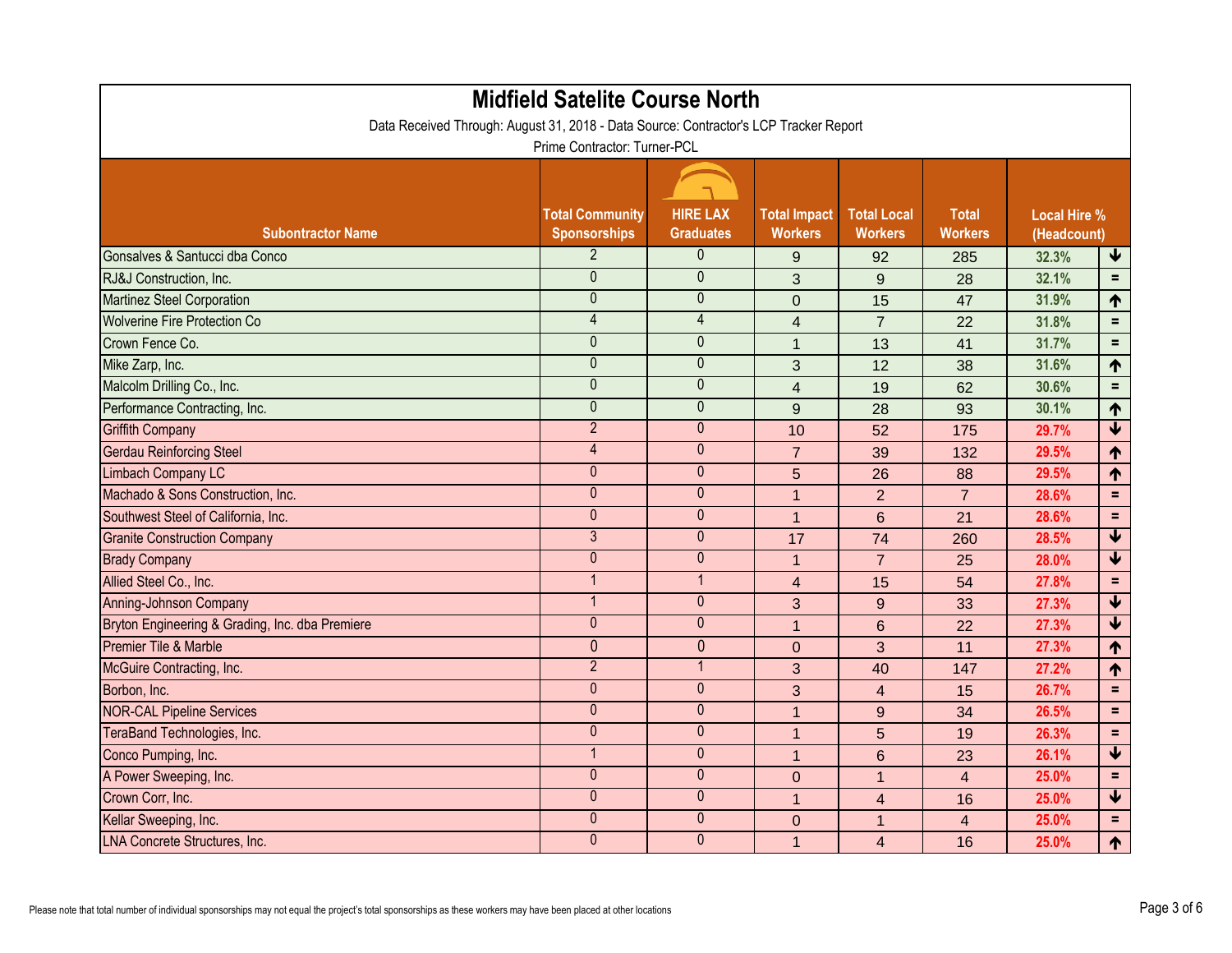|                                                 | <b>Midfield Satelite Course North</b><br>Data Received Through: August 31, 2018 - Data Source: Contractor's LCP Tracker Report |                                     |                                       |                                      |                                |                                    |                         |
|-------------------------------------------------|--------------------------------------------------------------------------------------------------------------------------------|-------------------------------------|---------------------------------------|--------------------------------------|--------------------------------|------------------------------------|-------------------------|
|                                                 | Prime Contractor: Turner-PCL                                                                                                   |                                     |                                       |                                      |                                |                                    |                         |
| <b>Subontractor Name</b>                        | <b>Total Community</b><br><b>Sponsorships</b>                                                                                  | <b>HIRE LAX</b><br><b>Graduates</b> | <b>Total Impact</b><br><b>Workers</b> | <b>Total Local</b><br><b>Workers</b> | <b>Total</b><br><b>Workers</b> | <b>Local Hire %</b><br>(Headcount) |                         |
| Gonsalves & Santucci dba Conco                  | 2 <sup>2</sup>                                                                                                                 | $\mathbf{0}$                        | 9                                     | 92                                   | 285                            | 32.3%                              | $\blacklozenge$         |
| RJ&J Construction, Inc.                         | $\mathbf 0$                                                                                                                    | $\mathbf{0}$                        | 3                                     | $9\,$                                | 28                             | 32.1%                              | $=$                     |
| <b>Martinez Steel Corporation</b>               | $\mathbf 0$                                                                                                                    | $\mathbf 0$                         | $\mathbf 0$                           | 15                                   | 47                             | 31.9%                              | $\uparrow$              |
| <b>Wolverine Fire Protection Co</b>             | $\overline{4}$                                                                                                                 | $\overline{4}$                      | $\overline{\mathbf{4}}$               | $\overline{7}$                       | 22                             | 31.8%                              | $\equiv$                |
| Crown Fence Co.                                 | $\overline{0}$                                                                                                                 | $\mathbf{0}$                        | $\mathbf{1}$                          | 13                                   | 41                             | 31.7%                              | $=$                     |
| Mike Zarp, Inc.                                 | $\overline{0}$                                                                                                                 | $\mathbf{0}$                        | 3                                     | 12                                   | 38                             | 31.6%                              | $\uparrow$              |
| Malcolm Drilling Co., Inc.                      | $\overline{0}$                                                                                                                 | $\mathbf{0}$                        | $\overline{4}$                        | 19                                   | 62                             | 30.6%                              | $\equiv$                |
| Performance Contracting, Inc.                   | $\overline{0}$                                                                                                                 | $\mathbf{0}$                        | $9\,$                                 | 28                                   | 93                             | 30.1%                              | 1                       |
| <b>Griffith Company</b>                         | $\overline{2}$                                                                                                                 | $\mathbf{0}$                        | 10                                    | 52                                   | 175                            | 29.7%                              | $\overline{\textbf{V}}$ |
| <b>Gerdau Reinforcing Steel</b>                 | $\overline{4}$                                                                                                                 | $\mathbf{0}$                        | $\overline{7}$                        | 39                                   | 132                            | 29.5%                              | 1                       |
| Limbach Company LC                              | $\mathbf 0$                                                                                                                    | $\mathbf{0}$                        | 5                                     | 26                                   | 88                             | 29.5%                              | 1                       |
| Machado & Sons Construction, Inc.               | $\overline{0}$                                                                                                                 | $\mathbf{0}$                        | $\mathbf{1}$                          | $\overline{2}$                       | $\overline{7}$                 | 28.6%                              | $=$                     |
| Southwest Steel of California, Inc.             | $\mathbf{0}$                                                                                                                   | $\mathbf{0}$                        | $\mathbf{1}$                          | $6\phantom{1}$                       | 21                             | 28.6%                              | $=$                     |
| <b>Granite Construction Company</b>             | $\overline{3}$                                                                                                                 | $\theta$                            | 17                                    | 74                                   | 260                            | 28.5%                              | $\blacklozenge$         |
| <b>Brady Company</b>                            | $\overline{0}$                                                                                                                 | $\mathbf{0}$                        | $\mathbf{1}$                          | $\overline{7}$                       | 25                             | 28.0%                              | $\overline{\mathbf{V}}$ |
| Allied Steel Co., Inc.                          | $\mathbf 1$                                                                                                                    | $\mathbf{1}$                        | $\overline{4}$                        | 15                                   | 54                             | 27.8%                              | $\equiv$                |
| Anning-Johnson Company                          | 1                                                                                                                              | $\theta$                            | 3                                     | 9                                    | 33                             | 27.3%                              | $\blacklozenge$         |
| Bryton Engineering & Grading, Inc. dba Premiere | $\overline{0}$                                                                                                                 | $\mathbf{0}$                        | $\mathbf{1}$                          | $6\phantom{1}$                       | 22                             | 27.3%                              | $\overline{\mathbf{V}}$ |
| Premier Tile & Marble                           | $\mathbf{0}$                                                                                                                   | $\overline{0}$                      | $\overline{0}$                        | 3                                    | 11                             | 27.3%                              | 1                       |
| McGuire Contracting, Inc.                       | $\overline{2}$                                                                                                                 | -1                                  | 3                                     | 40                                   | 147                            | 27.2%                              | 1                       |
| Borbon, Inc.                                    | $\overline{0}$                                                                                                                 | $\mathbf{0}$                        | 3                                     | $\overline{\mathcal{L}}$             | 15                             | 26.7%                              | $\equiv$                |
| <b>NOR-CAL Pipeline Services</b>                | $\mathbf 0$                                                                                                                    | $\mathbf 0$                         | $\mathbf 1$                           | $9\,$                                | 34                             | 26.5%                              | $\equiv$                |
| TeraBand Technologies, Inc.                     | $\overline{0}$                                                                                                                 | $\pmb{0}$                           | $\mathbf 1$                           | 5                                    | 19                             | 26.3%                              | $\equiv$                |
| Conco Pumping, Inc.                             | 1                                                                                                                              | $\overline{0}$                      | $\overline{1}$                        | $6\phantom{1}$                       | 23                             | 26.1%                              | $\blacklozenge$         |
| A Power Sweeping, Inc.                          | $\mathbf 0$                                                                                                                    | $\mathbf{0}$                        | $\mathbf 0$                           | $\mathbf{1}$                         | $\overline{4}$                 | 25.0%                              | $=$                     |
| Crown Corr, Inc.                                | $\overline{0}$                                                                                                                 | $\mathbf 0$                         | $\mathbf{1}$                          | $\overline{\mathbf{4}}$              | 16                             | 25.0%                              | $\overline{\mathbf{t}}$ |
| Kellar Sweeping, Inc.                           | $\overline{0}$                                                                                                                 | $\mathbf 0$                         | $\overline{0}$                        | $\overline{1}$                       | $\overline{4}$                 | 25.0%                              | $=$                     |
| <b>LNA Concrete Structures, Inc.</b>            | $\overline{0}$                                                                                                                 | $\pmb{0}$                           | $\mathbf{1}$                          | $\overline{4}$                       | 16                             | 25.0%                              | $\uparrow$              |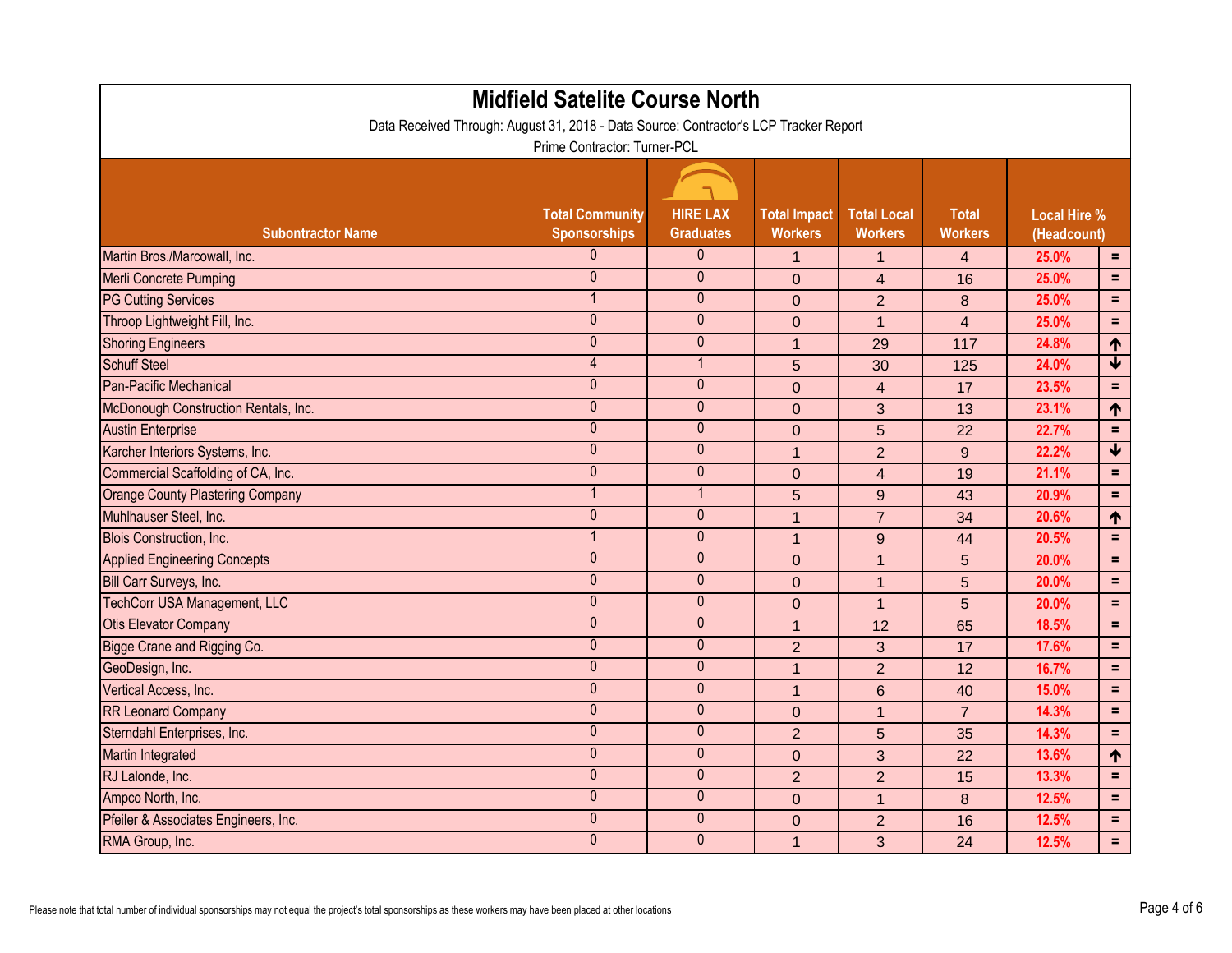| <b>Midfield Satelite Course North</b><br>Data Received Through: August 31, 2018 - Data Source: Contractor's LCP Tracker Report |                        |                  |                     |                    |                |                     |                         |  |  |
|--------------------------------------------------------------------------------------------------------------------------------|------------------------|------------------|---------------------|--------------------|----------------|---------------------|-------------------------|--|--|
| Prime Contractor: Turner-PCL                                                                                                   |                        |                  |                     |                    |                |                     |                         |  |  |
|                                                                                                                                | <b>Total Community</b> | <b>HIRE LAX</b>  | <b>Total Impact</b> | <b>Total Local</b> | <b>Total</b>   | <b>Local Hire %</b> |                         |  |  |
| <b>Subontractor Name</b>                                                                                                       | <b>Sponsorships</b>    | <b>Graduates</b> | <b>Workers</b>      | <b>Workers</b>     | <b>Workers</b> | (Headcount)         |                         |  |  |
| Martin Bros./Marcowall, Inc.                                                                                                   | 0                      | $\overline{0}$   | 1                   | 1                  | $\overline{4}$ | 25.0%               | $=$                     |  |  |
| <b>Merli Concrete Pumping</b>                                                                                                  | $\mathbf{0}$           | $\mathbf{0}$     | $\overline{0}$      | $\overline{4}$     | 16             | 25.0%               | $=$                     |  |  |
| <b>PG Cutting Services</b>                                                                                                     |                        | $\theta$         | $\overline{0}$      | $\overline{2}$     | 8              | 25.0%               | $\equiv$                |  |  |
| Throop Lightweight Fill, Inc.                                                                                                  | $\mathbf{0}$           | $\mathbf{0}$     | $\overline{0}$      | $\mathbf 1$        | $\overline{4}$ | 25.0%               | Ξ                       |  |  |
| <b>Shoring Engineers</b>                                                                                                       | $\mathbf{0}$           | $\theta$         | $\mathbf{1}$        | 29                 | 117            | 24.8%               | 1                       |  |  |
| <b>Schuff Steel</b>                                                                                                            | 4                      | $\mathbf 1$      | 5                   | 30                 | 125            | 24.0%               | $\overline{\mathbf{t}}$ |  |  |
| <b>Pan-Pacific Mechanical</b>                                                                                                  | $\mathbf{0}$           | $\mathbf{0}$     | $\overline{0}$      | $\overline{4}$     | 17             | 23.5%               | $\equiv$                |  |  |
| McDonough Construction Rentals, Inc.                                                                                           | $\mathbf 0$            | $\theta$         | $\overline{0}$      | 3                  | 13             | 23.1%               | ↑                       |  |  |
| <b>Austin Enterprise</b>                                                                                                       | $\mathbf{0}$           | $\theta$         | $\overline{0}$      | 5                  | 22             | 22.7%               | $=$                     |  |  |
| Karcher Interiors Systems, Inc.                                                                                                | $\mathbf{0}$           | $\mathbf{0}$     | $\mathbf{1}$        | $\overline{2}$     | 9              | 22.2%               | $\blacklozenge$         |  |  |
| Commercial Scaffolding of CA, Inc.                                                                                             | $\mathbf{0}$           | $\mathbf{0}$     | $\overline{0}$      | $\overline{4}$     | 19             | 21.1%               | $\equiv$                |  |  |
| <b>Orange County Plastering Company</b>                                                                                        |                        | -1               | 5                   | 9                  | 43             | 20.9%               | $=$                     |  |  |
| Muhlhauser Steel, Inc.                                                                                                         | $\mathbf{0}$           | $\mathbf{0}$     | $\overline{1}$      | $\overline{7}$     | 34             | 20.6%               | 1                       |  |  |
| <b>Blois Construction, Inc.</b>                                                                                                |                        | $\mathbf{0}$     | $\overline{1}$      | 9                  | 44             | 20.5%               | $=$                     |  |  |
| <b>Applied Engineering Concepts</b>                                                                                            | $\mathbf{0}$           | $\pmb{0}$        | $\overline{0}$      | $\mathbf 1$        | 5              | 20.0%               | $=$                     |  |  |
| Bill Carr Surveys, Inc.                                                                                                        | $\mathbf{0}$           | $\mathbf{0}$     | $\overline{0}$      | $\mathbf{1}$       | 5              | 20.0%               | $=$                     |  |  |
| <b>TechCorr USA Management, LLC</b>                                                                                            | $\mathbf{0}$           | $\mathbf{0}$     | $\overline{0}$      | $\mathbf 1$        | 5              | 20.0%               | $\equiv$                |  |  |
| <b>Otis Elevator Company</b>                                                                                                   | $\mathbf 0$            | $\pmb{0}$        | $\overline{1}$      | 12                 | 65             | 18.5%               | $=$                     |  |  |
| <b>Bigge Crane and Rigging Co.</b>                                                                                             | $\mathbf{0}$           | $\theta$         | $\overline{2}$      | 3                  | 17             | 17.6%               | $\equiv$                |  |  |
| GeoDesign, Inc.                                                                                                                | $\mathbf{0}$           | $\theta$         | 1                   | $\overline{2}$     | 12             | 16.7%               | $\equiv$                |  |  |
| Vertical Access, Inc.                                                                                                          | $\mathbf{0}$           | $\mathbf{0}$     | 1                   | 6                  | 40             | 15.0%               | $=$                     |  |  |
| <b>RR Leonard Company</b>                                                                                                      | $\mathbf{0}$           | $\mathbf{0}$     | $\overline{0}$      | $\mathbf{1}$       | $\overline{7}$ | 14.3%               | $\equiv$                |  |  |
| Sterndahl Enterprises, Inc.                                                                                                    | $\mathbf 0$            | $\pmb{0}$        | $\overline{2}$      | 5                  | 35             | 14.3%               | $\equiv$                |  |  |
| Martin Integrated                                                                                                              | $\mathbf{0}$           | $\mathbf{0}$     | $\mathbf{0}$        | 3                  | 22             | 13.6%               | 1                       |  |  |
| RJ Lalonde, Inc.                                                                                                               | $\mathbf{0}$           | $\mathbf 0$      | $\overline{2}$      | $\overline{2}$     | 15             | 13.3%               | $=$                     |  |  |
| Ampco North, Inc.                                                                                                              | $\mathbf 0$            | $\mathbf 0$      | $\mathbf{0}$        | 1                  | 8              | 12.5%               | $\equiv$                |  |  |
| Pfeiler & Associates Engineers, Inc.                                                                                           | $\mathbf{0}$           | $\mathbf{0}$     | $\mathbf{0}$        | $\overline{2}$     | 16             | 12.5%               | $\equiv$                |  |  |
| RMA Group, Inc.                                                                                                                | $\mathbf 0$            | $\mathbf{0}$     | $\mathbf{1}$        | 3                  | 24             | 12.5%               | $=$ $\Box$              |  |  |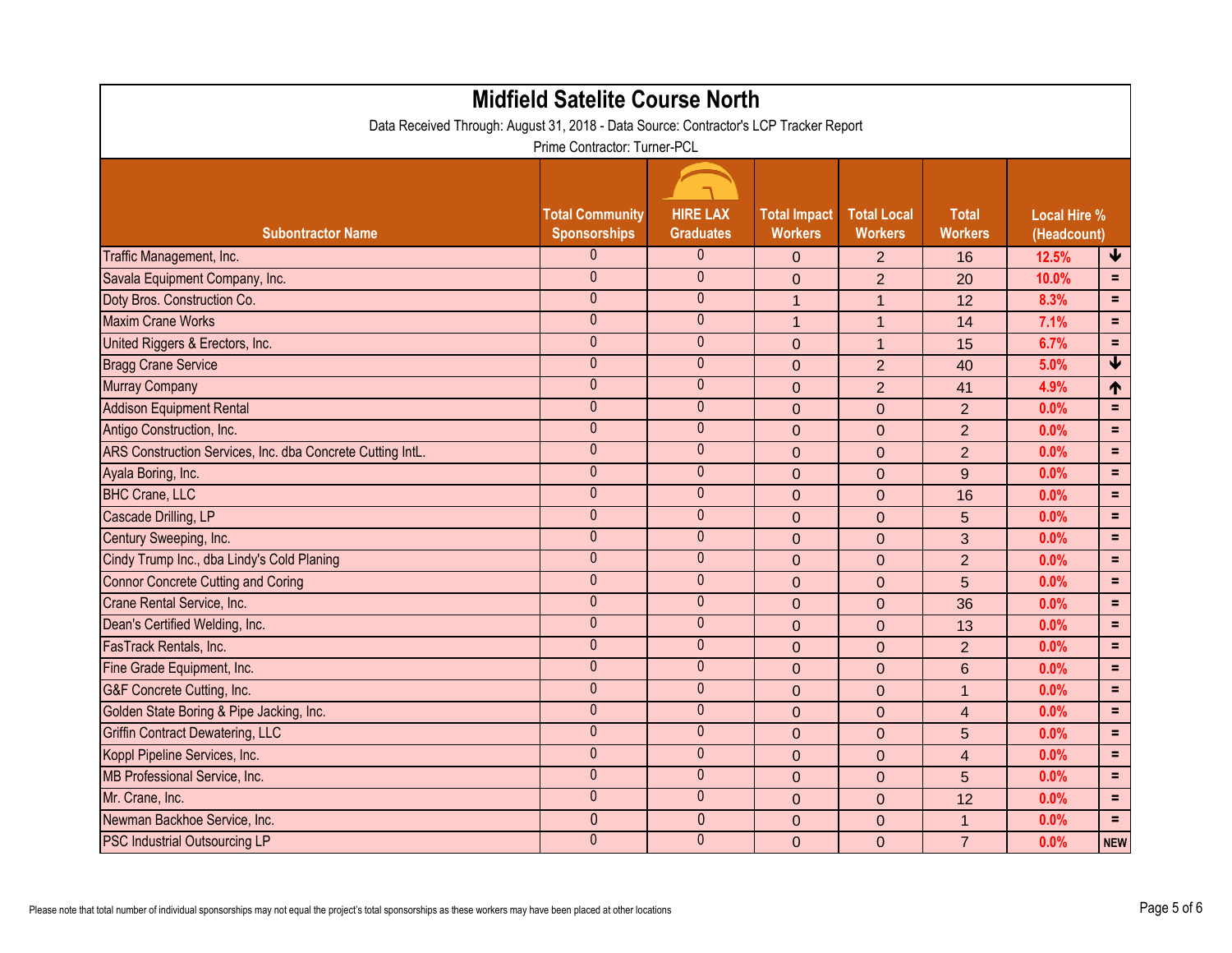| <b>Midfield Satelite Course North</b><br>Data Received Through: August 31, 2018 - Data Source: Contractor's LCP Tracker Report |                                               |                                     |                                       |                                      |                                |                                    |                 |  |  |  |
|--------------------------------------------------------------------------------------------------------------------------------|-----------------------------------------------|-------------------------------------|---------------------------------------|--------------------------------------|--------------------------------|------------------------------------|-----------------|--|--|--|
| Prime Contractor: Turner-PCL                                                                                                   |                                               |                                     |                                       |                                      |                                |                                    |                 |  |  |  |
|                                                                                                                                |                                               |                                     |                                       |                                      |                                |                                    |                 |  |  |  |
| <b>Subontractor Name</b>                                                                                                       | <b>Total Community</b><br><b>Sponsorships</b> | <b>HIRE LAX</b><br><b>Graduates</b> | <b>Total Impact</b><br><b>Workers</b> | <b>Total Local</b><br><b>Workers</b> | <b>Total</b><br><b>Workers</b> | <b>Local Hire %</b><br>(Headcount) |                 |  |  |  |
| Traffic Management, Inc.                                                                                                       | 0                                             | $\overline{0}$                      | $\overline{0}$                        | 2                                    | 16                             | 12.5%                              | ₩               |  |  |  |
| Savala Equipment Company, Inc.                                                                                                 | $\mathbf{0}$                                  | $\mathbf{0}$                        | $\overline{0}$                        | $\overline{2}$                       | 20                             | 10.0%                              | $=$             |  |  |  |
| Doty Bros. Construction Co.                                                                                                    | $\mathbf{0}$                                  | $\theta$                            | $\mathbf{1}$                          | $\mathbf{1}$                         | 12                             | 8.3%                               | $\equiv$        |  |  |  |
| <b>Maxim Crane Works</b>                                                                                                       | $\mathbf{0}$                                  | $\mathbf{0}$                        | $\overline{1}$                        | $\mathbf 1$                          | 14                             | 7.1%                               | Ξ               |  |  |  |
| United Riggers & Erectors, Inc.                                                                                                | $\mathbf{0}$                                  | $\theta$                            | $\overline{0}$                        | $\mathbf{1}$                         | 15                             | 6.7%                               | $\equiv$        |  |  |  |
| <b>Bragg Crane Service</b>                                                                                                     | $\mathbf{0}$                                  | $\boldsymbol{0}$                    | $\theta$                              | $\overline{2}$                       | 40                             | 5.0%                               | $\blacklozenge$ |  |  |  |
| <b>Murray Company</b>                                                                                                          | $\mathbf{0}$                                  | $\mathbf{0}$                        | $\overline{0}$                        | $\overline{2}$                       | 41                             | 4.9%                               | ↑               |  |  |  |
| <b>Addison Equipment Rental</b>                                                                                                | $\mathbf 0$                                   | $\theta$                            | $\overline{0}$                        | $\overline{0}$                       | $\overline{2}$                 | 0.0%                               | $\equiv$        |  |  |  |
| Antigo Construction, Inc.                                                                                                      | $\mathbf 0$                                   | $\theta$                            | $\overline{0}$                        | $\overline{0}$                       | $\overline{2}$                 | 0.0%                               | $\equiv$        |  |  |  |
| ARS Construction Services, Inc. dba Concrete Cutting IntL.                                                                     | $\mathbf{0}$                                  | $\mathbf{0}$                        | $\mathbf 0$                           | $\overline{0}$                       | $\overline{2}$                 | 0.0%                               | $\equiv$        |  |  |  |
| Ayala Boring, Inc.                                                                                                             | $\mathbf{0}$                                  | $\mathbf{0}$                        | $\overline{0}$                        | $\overline{0}$                       | 9                              | 0.0%                               | $\equiv$        |  |  |  |
| <b>BHC Crane, LLC</b>                                                                                                          | $\mathbf{0}$                                  | $\pmb{0}$                           | $\theta$                              | $\overline{0}$                       | 16                             | 0.0%                               | $\equiv$        |  |  |  |
| Cascade Drilling, LP                                                                                                           | $\overline{0}$                                | $\mathbf{0}$                        | $\overline{0}$                        | $\overline{0}$                       | 5                              | 0.0%                               | $\equiv$        |  |  |  |
| Century Sweeping, Inc.                                                                                                         | $\mathbf{0}$                                  | $\mathbf 0$                         | $\overline{0}$                        | $\overline{0}$                       | 3                              | 0.0%                               | $\equiv$        |  |  |  |
| Cindy Trump Inc., dba Lindy's Cold Planing                                                                                     | $\mathbf 0$                                   | $\pmb{0}$                           | $\theta$                              | $\overline{0}$                       | $\overline{2}$                 | 0.0%                               | $\equiv$        |  |  |  |
| Connor Concrete Cutting and Coring                                                                                             | $\mathbf{0}$                                  | $\mathbf{0}$                        | $\overline{0}$                        | $\overline{0}$                       | 5                              | 0.0%                               | $\equiv$        |  |  |  |
| Crane Rental Service, Inc.                                                                                                     | $\mathbf{0}$                                  | $\boldsymbol{0}$                    | $\overline{0}$                        | $\mathbf 0$                          | 36                             | 0.0%                               | $\equiv$        |  |  |  |
| Dean's Certified Welding, Inc.                                                                                                 | $\mathbf 0$                                   | $\pmb{0}$                           | $\mathbf 0$                           | $\overline{0}$                       | 13                             | 0.0%                               | $=$             |  |  |  |
| FasTrack Rentals, Inc.                                                                                                         | $\mathbf{0}$                                  | $\theta$                            | $\overline{0}$                        | $\overline{0}$                       | $\overline{2}$                 | 0.0%                               | $=$             |  |  |  |
| Fine Grade Equipment, Inc.                                                                                                     | $\mathbf{0}$                                  | $\mathbf 0$                         | $\mathbf 0$                           | $\mathbf 0$                          | 6                              | 0.0%                               | $\equiv$        |  |  |  |
| G&F Concrete Cutting, Inc.                                                                                                     | $\mathbf{0}$                                  | $\mathbf{0}$                        | $\overline{0}$                        | $\overline{0}$                       |                                | 0.0%                               | $=$             |  |  |  |
| Golden State Boring & Pipe Jacking, Inc.                                                                                       | $\mathbf{0}$                                  | $\mathbf{0}$                        | $\overline{0}$                        | $\overline{0}$                       | $\overline{4}$                 | 0.0%                               | $=$ $\,$        |  |  |  |
| <b>Griffin Contract Dewatering, LLC</b>                                                                                        | $\mathbf 0$                                   | $\mathbf 0$                         | $\mathbf{0}$                          | $\overline{0}$                       | 5 <sup>5</sup>                 | 0.0%                               | $\equiv$        |  |  |  |
| Koppl Pipeline Services, Inc.                                                                                                  | $\mathbf{0}$                                  | $\mathbf{0}$                        | $\mathbf{0}$                          | $\overline{0}$                       | $\overline{4}$                 | 0.0%                               | $=$             |  |  |  |
| MB Professional Service, Inc.                                                                                                  | $\mathbf 0$                                   | $\mathbf 0$                         | $\overline{0}$                        | $\overline{0}$                       | $5\overline{)}$                | $0.0\%$                            | $\equiv$        |  |  |  |
| Mr. Crane, Inc.                                                                                                                | $\mathbf 0$                                   | $\mathbf 0$                         | $\overline{0}$                        | $\mathbf{0}$                         | 12                             | $0.0\%$                            | $=$             |  |  |  |
| Newman Backhoe Service, Inc.                                                                                                   | $\mathbf{0}$                                  | $\theta$                            | $\mathbf 0$                           | $\mathbf 0$                          | $\mathbf{1}$                   | 0.0%                               | $\equiv$        |  |  |  |
| <b>PSC Industrial Outsourcing LP</b>                                                                                           | $\mathbf 0$                                   | $\mathbf 0$                         | $\overline{0}$                        | $\mathbf 0$                          | 7 <sup>1</sup>                 | 0.0%                               | <b>NEW</b>      |  |  |  |